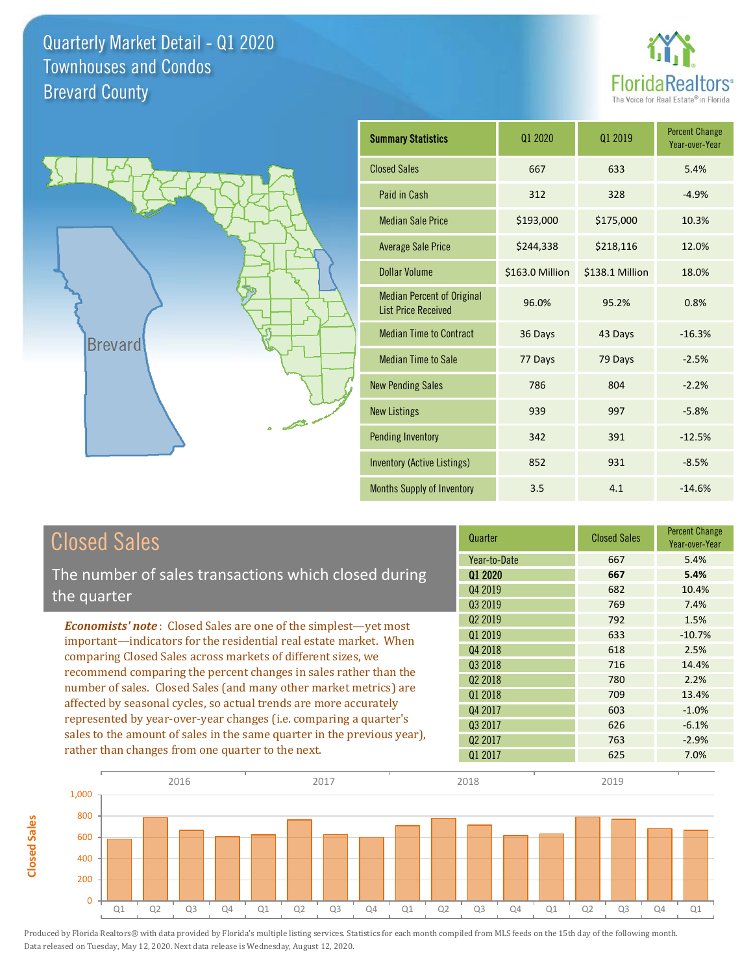



**Closed Sales**

**Closed Sales** 

| <b>Summary Statistics</b>                                       | 01 2020         | 01 2019         | <b>Percent Change</b><br>Year-over-Year |
|-----------------------------------------------------------------|-----------------|-----------------|-----------------------------------------|
| <b>Closed Sales</b>                                             | 667             | 633             | 5.4%                                    |
| Paid in Cash                                                    | 312             | 328             | $-4.9%$                                 |
| <b>Median Sale Price</b>                                        | \$193,000       | \$175,000       | 10.3%                                   |
| <b>Average Sale Price</b>                                       | \$244,338       | \$218,116       | 12.0%                                   |
| Dollar Volume                                                   | \$163.0 Million | \$138.1 Million | 18.0%                                   |
| <b>Median Percent of Original</b><br><b>List Price Received</b> | 96.0%           | 95.2%           | 0.8%                                    |
| <b>Median Time to Contract</b>                                  | 36 Days         | 43 Days         | $-16.3%$                                |
| <b>Median Time to Sale</b>                                      | 77 Days         | 79 Days         | $-2.5%$                                 |
| <b>New Pending Sales</b>                                        | 786             | 804             | $-2.2%$                                 |
| <b>New Listings</b>                                             | 939             | 997             | $-5.8%$                                 |
| <b>Pending Inventory</b>                                        | 342             | 391             | $-12.5%$                                |
| <b>Inventory (Active Listings)</b>                              | 852             | 931             | $-8.5%$                                 |
| Months Supply of Inventory                                      | 3.5             | 4.1             | $-14.6%$                                |

| <b>Closed Sales</b>                                                                                                                          | Quarter             | <b>Closed Sales</b> | <b>Percent Change</b><br>Year-over-Year |
|----------------------------------------------------------------------------------------------------------------------------------------------|---------------------|---------------------|-----------------------------------------|
|                                                                                                                                              | Year-to-Date        | 667                 | 5.4%                                    |
| The number of sales transactions which closed during                                                                                         | 01 2020             | 667                 | 5.4%                                    |
| the quarter                                                                                                                                  | Q4 2019             | 682                 | 10.4%                                   |
|                                                                                                                                              | Q3 2019             | 769                 | 7.4%                                    |
| <b>Economists' note:</b> Closed Sales are one of the simplest—yet most                                                                       | Q <sub>2</sub> 2019 | 792                 | 1.5%                                    |
| important—indicators for the residential real estate market. When                                                                            | Q1 2019             | 633                 | $-10.7%$                                |
| comparing Closed Sales across markets of different sizes, we                                                                                 | Q4 2018             | 618                 | 2.5%                                    |
| recommend comparing the percent changes in sales rather than the                                                                             | Q3 2018             | 716                 | 14.4%                                   |
|                                                                                                                                              | Q <sub>2</sub> 2018 | 780                 | 2.2%                                    |
| number of sales. Closed Sales (and many other market metrics) are                                                                            | Q1 2018             | 709                 | 13.4%                                   |
| affected by seasonal cycles, so actual trends are more accurately                                                                            | Q4 2017             | 603                 | $-1.0%$                                 |
| represented by year-over-year changes (i.e. comparing a quarter's<br>sales to the amount of sales in the same quarter in the previous year), | Q3 2017             | 626                 | $-6.1%$                                 |
|                                                                                                                                              | Q <sub>2</sub> 2017 | 763                 | $-2.9%$                                 |
| rather than changes from one quarter to the next.                                                                                            | Q1 2017             | 625                 | 7.0%                                    |

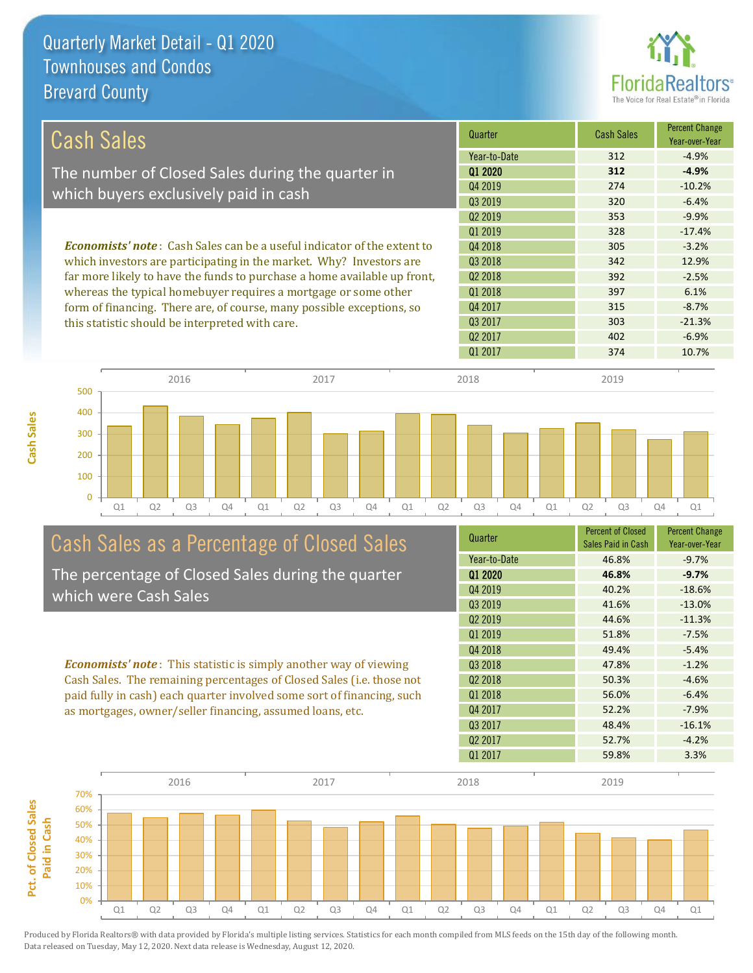

| Cash Sales                                                                                                               | Quarter             | <b>Cash Sales</b> | <b>Percent Change</b><br>Year-over-Year |
|--------------------------------------------------------------------------------------------------------------------------|---------------------|-------------------|-----------------------------------------|
|                                                                                                                          | Year-to-Date        | 312               | $-4.9%$                                 |
| The number of Closed Sales during the quarter in                                                                         | 01 2020             | 312               | $-4.9%$                                 |
| which buyers exclusively paid in cash                                                                                    | Q4 2019             | 274               | $-10.2%$                                |
|                                                                                                                          | 03 2019             | 320               | $-6.4%$                                 |
|                                                                                                                          | 02 2019             | 353               | $-9.9%$                                 |
|                                                                                                                          | Q1 2019             | 328               | $-17.4%$                                |
| <b>Economists' note</b> : Cash Sales can be a useful indicator of the extent to                                          | Q4 2018             | 305               | $-3.2%$                                 |
| which investors are participating in the market. Why? Investors are                                                      | Q3 2018             | 342               | 12.9%                                   |
| far more likely to have the funds to purchase a home available up front,                                                 | 02 2018             | 392               | $-2.5%$                                 |
| whereas the typical homebuyer requires a mortgage or some other                                                          | 01 2018             | 397               | 6.1%                                    |
| form of financing. There are, of course, many possible exceptions, so<br>this statistic should be interpreted with care. | Q4 2017             | 315               | $-8.7%$                                 |
|                                                                                                                          | Q3 2017             | 303               | $-21.3%$                                |
|                                                                                                                          | Q <sub>2</sub> 2017 | 402               | $-6.9%$                                 |
|                                                                                                                          | 01 2017             | 374               | 10.7%                                   |

2016 2017 2018 2019

## Q1 Q2 Q3 Q4 Q1 Q2 Q3 Q4 Q1 Q2 Q3 Q4 Q1 Q2 Q3 Q4 Q1 Cash Sales as a Percentage of Closed Sales

The percentage of Closed Sales during the quarter which were Cash Sales

*Economists' note* : This statistic is simply another way of viewing Cash Sales. The remaining percentages of Closed Sales (i.e. those not paid fully in cash) each quarter involved some sort of financing, such as mortgages, owner/seller financing, assumed loans, etc.

| Quarter             | <b>Percent of Closed</b><br>Sales Paid in Cash | <b>Percent Change</b><br>Year-over-Year |
|---------------------|------------------------------------------------|-----------------------------------------|
| Year-to-Date        | 46.8%                                          | $-9.7%$                                 |
| 01 2020             | 46.8%                                          | $-9.7%$                                 |
| Q4 2019             | 40.2%                                          | $-18.6%$                                |
| Q3 2019             | 41.6%                                          | $-13.0%$                                |
| Q <sub>2</sub> 2019 | 44.6%                                          | $-11.3%$                                |
| 01 2019             | 51.8%                                          | $-7.5%$                                 |
| Q4 2018             | 49.4%                                          | $-5.4%$                                 |
| Q3 2018             | 47.8%                                          | $-1.2%$                                 |
| 02 2018             | 50.3%                                          | $-4.6%$                                 |
| 01 2018             | 56.0%                                          | $-6.4%$                                 |
| Q4 2017             | 52.2%                                          | $-7.9%$                                 |
| Q3 2017             | 48.4%                                          | $-16.1%$                                |
| Q <sub>2</sub> 2017 | 52.7%                                          | $-4.2%$                                 |
| Q1 2017             | 59.8%                                          | 3.3%                                    |
|                     |                                                |                                         |



Produced by Florida Realtors® with data provided by Florida's multiple listing services. Statistics for each month compiled from MLS feeds on the 15th day of the following month. Data released on Tuesday, May 12, 2020. Next data release is Wednesday, August 12, 2020.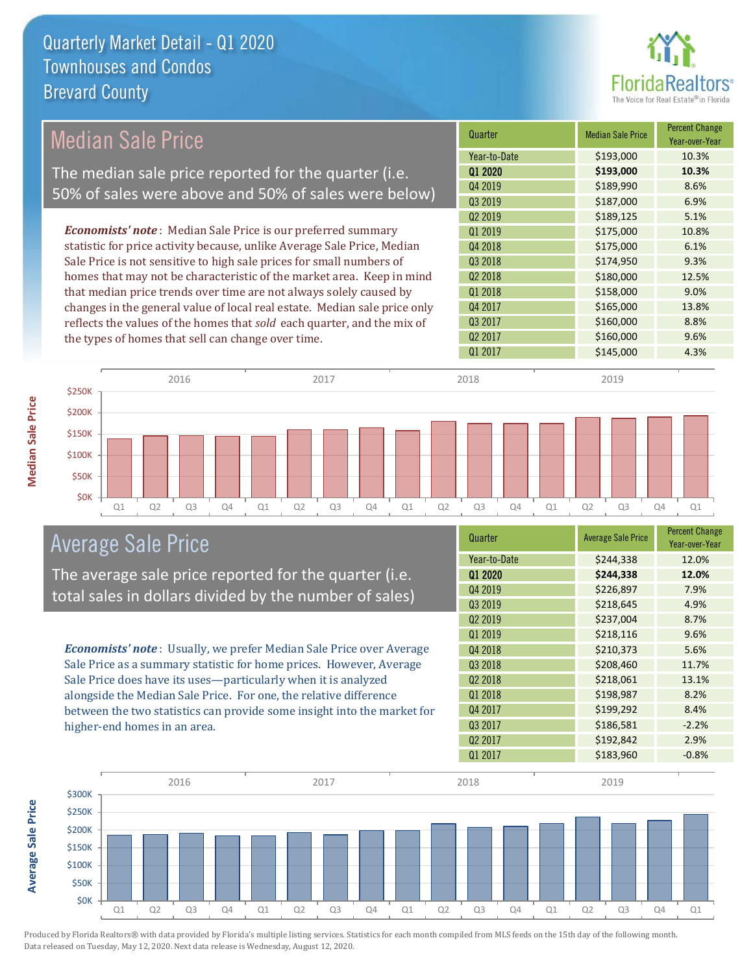

#### *Economists' note* : Median Sale Price is our preferred summary statistic for price activity because, unlike Average Sale Price, Median Sale Price is not sensitive to high sale prices for small numbers of homes that may not be characteristic of the market area. Keep in mind that median price trends over time are not always solely caused by changes in the general value of local real estate. Median sale price only reflects the values of the homes that *sold* each quarter, and the mix of the types of homes that sell can change over time. Q1 2017 \$145,000 4.3% Q3 2017 \$160,000 8.8% Q2 2017 \$160,000 9.6% Q1 2018 **\$158,000** \$158,000 9.0% Q4 2017 \$165,000 13.8% \$189,125 5.1% Q1 2019 \$175,000 10.8% Q2 2018 **\$180,000** 12.5% Q4 2019 \$189,990 \$189,990 Q3 2019 \$187,000 6.9% Q4 2018 **\$175,000** 6.1% Q3 2018 **\$174,950** \$174,950 Q2 2019 Quarter Median Sale Price Percent Change Year-over-Year Q1 2020 **\$193,000 10.3%** Year-to-Date \$193,000 10.3% \$250K 2016 2017 2018 2019 Median Sale Price The median sale price reported for the quarter (i.e. 50% of sales were above and 50% of sales were below)



### Average Sale Price

The average sale price reported for the quarter (i.e. total sales in dollars divided by the number of sales)

*Economists' note* : Usually, we prefer Median Sale Price over Average Sale Price as a summary statistic for home prices. However, Average Sale Price does have its uses—particularly when it is analyzed alongside the Median Sale Price. For one, the relative difference between the two statistics can provide some insight into the market for higher-end homes in an area.

| Quarter             | <b>Average Sale Price</b> | <b>Percent Change</b><br>Year-over-Year |
|---------------------|---------------------------|-----------------------------------------|
| Year-to-Date        | \$244,338                 | 12.0%                                   |
| Q1 2020             | \$244,338                 | 12.0%                                   |
| Q4 2019             | \$226,897                 | 7.9%                                    |
| Q3 2019             | \$218,645                 | 4.9%                                    |
| Q <sub>2</sub> 2019 | \$237,004                 | 8.7%                                    |
| Q1 2019             | \$218,116                 | 9.6%                                    |
| Q4 2018             | \$210,373                 | 5.6%                                    |
| Q3 2018             | \$208,460                 | 11.7%                                   |
| Q <sub>2</sub> 2018 | \$218,061                 | 13.1%                                   |
| Q1 2018             | \$198,987                 | 8.2%                                    |
| Q4 2017             | \$199,292                 | 8.4%                                    |
| Q3 2017             | \$186,581                 | $-2.2%$                                 |
| Q <sub>2</sub> 2017 | \$192,842                 | 2.9%                                    |
| Q1 2017             | \$183,960                 | $-0.8%$                                 |



Produced by Florida Realtors® with data provided by Florida's multiple listing services. Statistics for each month compiled from MLS feeds on the 15th day of the following month. Data released on Tuesday, May 12, 2020. Next data release is Wednesday, August 12, 2020.

**Average Sale Price**

**Average Sale Price**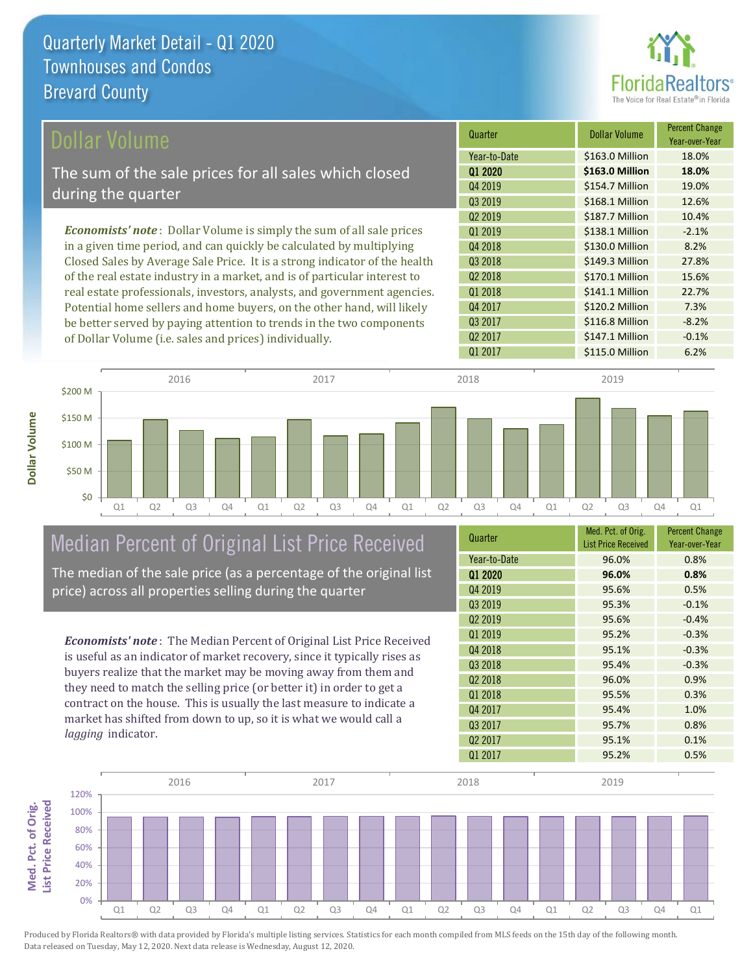

| Dollar Volume                                                                | Quarter             | Dollar Volume   | <b>Percent Change</b><br>Year-over-Year |
|------------------------------------------------------------------------------|---------------------|-----------------|-----------------------------------------|
|                                                                              | Year-to-Date        | \$163.0 Million | 18.0%                                   |
| The sum of the sale prices for all sales which closed                        | 01 2020             | \$163.0 Million | 18.0%                                   |
| during the quarter                                                           | Q4 2019             | \$154.7 Million | 19.0%                                   |
|                                                                              | Q3 2019             | \$168.1 Million | 12.6%                                   |
|                                                                              | 02 2019             | \$187.7 Million | 10.4%                                   |
| <b>Economists' note</b> : Dollar Volume is simply the sum of all sale prices | 01 2019             | \$138.1 Million | $-2.1%$                                 |
| in a given time period, and can quickly be calculated by multiplying         | 04 2018             | \$130.0 Million | 8.2%                                    |
| Closed Sales by Average Sale Price. It is a strong indicator of the health   | Q3 2018             | \$149.3 Million | 27.8%                                   |
| of the real estate industry in a market, and is of particular interest to    | Q <sub>2</sub> 2018 | \$170.1 Million | 15.6%                                   |
| real estate professionals, investors, analysts, and government agencies.     | 01 2018             | \$141.1 Million | 22.7%                                   |
| Potential home sellers and home buyers, on the other hand, will likely       | Q4 2017             | \$120.2 Million | 7.3%                                    |
| be better served by paying attention to trends in the two components         | Q3 2017             | \$116.8 Million | $-8.2%$                                 |
| of Dollar Volume (i.e. sales and prices) individually.                       | Q <sub>2</sub> 2017 | \$147.1 Million | $-0.1%$                                 |



# Median Percent of Original List Price Received

The median of the sale price (as a percentage of the original list price) across all properties selling during the quarter

*Economists' note* : The Median Percent of Original List Price Received is useful as an indicator of market recovery, since it typically rises as buyers realize that the market may be moving away from them and they need to match the selling price (or better it) in order to get a contract on the house. This is usually the last measure to indicate a market has shifted from down to up, so it is what we would call a *lagging* indicator.

| Quarter             | Med. Pct. of Orig.<br><b>List Price Received</b> | <b>Percent Change</b><br>Year-over-Year |
|---------------------|--------------------------------------------------|-----------------------------------------|
| Year-to-Date        | 96.0%                                            | 0.8%                                    |
| Q1 2020             | 96.0%                                            | 0.8%                                    |
| Q4 2019             | 95.6%                                            | 0.5%                                    |
| Q3 2019             | 95.3%                                            | $-0.1%$                                 |
| Q <sub>2</sub> 2019 | 95.6%                                            | $-0.4%$                                 |
| 01 2019             | 95.2%                                            | $-0.3%$                                 |
| Q4 2018             | 95.1%                                            | $-0.3%$                                 |
| Q3 2018             | 95.4%                                            | $-0.3%$                                 |
| Q <sub>2</sub> 2018 | 96.0%                                            | 0.9%                                    |
| 01 2018             | 95.5%                                            | 0.3%                                    |
| Q4 2017             | 95.4%                                            | 1.0%                                    |
| Q3 2017             | 95.7%                                            | 0.8%                                    |
| Q <sub>2</sub> 2017 | 95.1%                                            | 0.1%                                    |
| Q1 2017             | 95.2%                                            | 0.5%                                    |

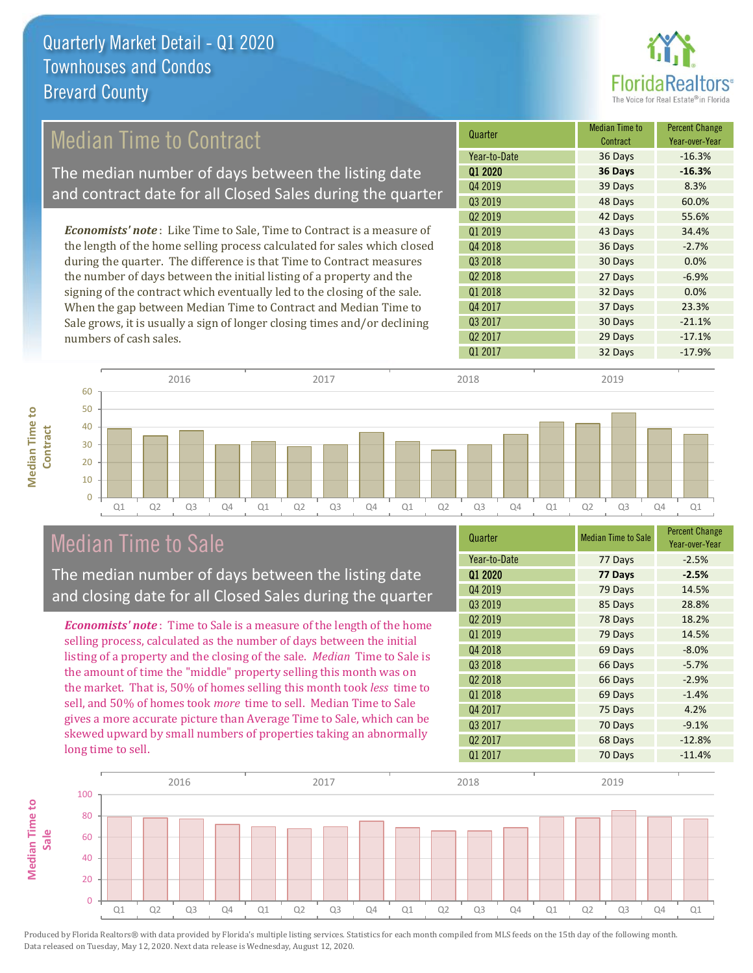

### Median Time to Contract

The median number of days between the listing date and contract date for all Closed Sales during the quarter

*Economists' note* : Like Time to Sale, Time to Contract is a measure of the length of the home selling process calculated for sales which closed during the quarter. The difference is that Time to Contract measures the number of days between the initial listing of a property and the signing of the contract which eventually led to the closing of the sale. When the gap between Median Time to Contract and Median Time to Sale grows, it is usually a sign of longer closing times and/or declining numbers of cash sales.

| Quarter             | <b>Median Time to</b><br>Contract | <b>Percent Change</b><br>Year-over-Year |
|---------------------|-----------------------------------|-----------------------------------------|
| Year-to-Date        | 36 Days                           | $-16.3%$                                |
| Q1 2020             | 36 Days                           | $-16.3%$                                |
| Q4 2019             | 39 Days                           | 8.3%                                    |
| Q3 2019             | 48 Days                           | 60.0%                                   |
| Q <sub>2</sub> 2019 | 42 Days                           | 55.6%                                   |
| Q1 2019             | 43 Days                           | 34.4%                                   |
| Q4 2018             | 36 Days                           | $-2.7%$                                 |
| Q3 2018             | 30 Days                           | 0.0%                                    |
| Q <sub>2</sub> 2018 | 27 Days                           | $-6.9%$                                 |
| Q1 2018             | 32 Days                           | 0.0%                                    |
| Q4 2017             | 37 Days                           | 23.3%                                   |
| Q3 2017             | 30 Days                           | $-21.1%$                                |
| Q <sub>2</sub> 2017 | 29 Days                           | $-17.1%$                                |
| Q1 2017             | 32 Days                           | $-17.9%$                                |



### Median Time to Sale

**Median Time to** 

**Median Time to** 

The median number of days between the listing date and closing date for all Closed Sales during the quarter

*Economists' note* : Time to Sale is a measure of the length of the home selling process, calculated as the number of days between the initial listing of a property and the closing of the sale. *Median* Time to Sale is the amount of time the "middle" property selling this month was on the market. That is, 50% of homes selling this month took *less* time to sell, and 50% of homes took *more* time to sell. Median Time to Sale gives a more accurate picture than Average Time to Sale, which can be skewed upward by small numbers of properties taking an abnormally long time to sell.

| Quarter             | <b>Median Time to Sale</b> | <b>Percent Change</b><br>Year-over-Year |
|---------------------|----------------------------|-----------------------------------------|
| Year-to-Date        | 77 Days                    | $-2.5%$                                 |
| Q1 2020             | 77 Days                    | $-2.5%$                                 |
| Q4 2019             | 79 Days                    | 14.5%                                   |
| Q3 2019             | 85 Days                    | 28.8%                                   |
| Q <sub>2</sub> 2019 | 78 Days                    | 18.2%                                   |
| 01 2019             | 79 Days                    | 14.5%                                   |
| Q4 2018             | 69 Days                    | $-8.0%$                                 |
| Q3 2018             | 66 Days                    | $-5.7%$                                 |
| Q <sub>2</sub> 2018 | 66 Days                    | $-2.9%$                                 |
| Q1 2018             | 69 Days                    | $-1.4%$                                 |
| Q4 2017             | 75 Days                    | 4.2%                                    |
| Q3 2017             | 70 Days                    | $-9.1%$                                 |
| Q <sub>2</sub> 2017 | 68 Days                    | $-12.8%$                                |
| Q1 2017             | 70 Days                    | $-11.4%$                                |

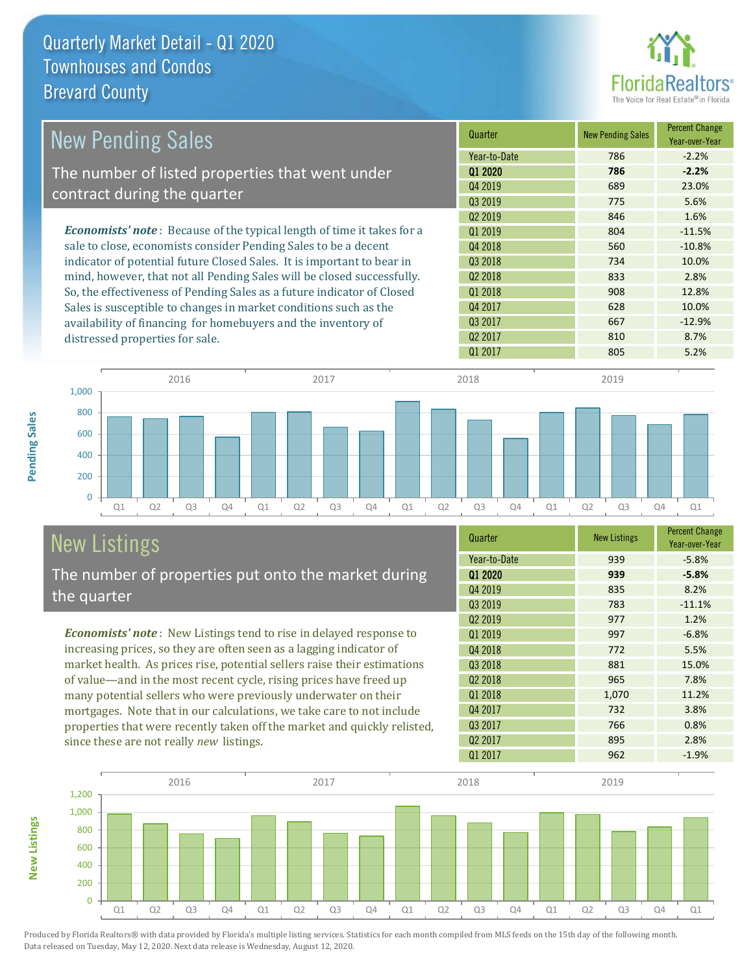

| <b>New Pending Sales</b>                                                      | Quarter             | <b>New Pending Sales</b> | <b>Percent Change</b><br>Year-over-Year |
|-------------------------------------------------------------------------------|---------------------|--------------------------|-----------------------------------------|
|                                                                               | Year-to-Date        | 786                      | $-2.2%$                                 |
| The number of listed properties that went under                               | 01 2020             | 786                      | $-2.2%$                                 |
| contract during the quarter                                                   | Q4 2019             | 689                      | 23.0%                                   |
|                                                                               | 03 2019             | 775                      | 5.6%                                    |
|                                                                               | Q <sub>2</sub> 2019 | 846                      | 1.6%                                    |
| <b>Economists' note:</b> Because of the typical length of time it takes for a | 01 2019             | 804                      | $-11.5%$                                |
| sale to close, economists consider Pending Sales to be a decent               | Q4 2018             | 560                      | $-10.8%$                                |
| indicator of potential future Closed Sales. It is important to bear in        | Q3 2018             | 734                      | 10.0%                                   |
| mind, however, that not all Pending Sales will be closed successfully.        | Q <sub>2</sub> 2018 | 833                      | 2.8%                                    |
| So, the effectiveness of Pending Sales as a future indicator of Closed        | 01 2018             | 908                      | 12.8%                                   |
| Sales is susceptible to changes in market conditions such as the              | Q4 2017             | 628                      | 10.0%                                   |
| availability of financing for homebuyers and the inventory of                 | Q3 2017             | 667                      | $-12.9%$                                |
| distressed properties for sale.                                               | Q <sub>2</sub> 2017 | 810                      | 8.7%                                    |



# New Listings

The number of properties put onto the market during the quarter

*Economists' note* : New Listings tend to rise in delayed response to increasing prices, so they are often seen as a lagging indicator of market health. As prices rise, potential sellers raise their estimations of value—and in the most recent cycle, rising prices have freed up many potential sellers who were previously underwater on their mortgages. Note that in our calculations, we take care to not include properties that were recently taken off the market and quickly relisted, since these are not really *new* listings.

| Quarter             | <b>New Listings</b> | <b>Percent Change</b><br>Year-over-Year |
|---------------------|---------------------|-----------------------------------------|
| Year-to-Date        | 939                 | $-5.8%$                                 |
| 01 2020             | 939                 | $-5.8%$                                 |
| Q4 2019             | 835                 | 8.2%                                    |
| Q3 2019             | 783                 | $-11.1%$                                |
| Q <sub>2</sub> 2019 | 977                 | 1.2%                                    |
| Q1 2019             | 997                 | $-6.8%$                                 |
| Q4 2018             | 772                 | 5.5%                                    |
| Q3 2018             | 881                 | 15.0%                                   |
| Q <sub>2</sub> 2018 | 965                 | 7.8%                                    |
| 01 2018             | 1,070               | 11.2%                                   |
| Q4 2017             | 732                 | 3.8%                                    |
| Q3 2017             | 766                 | 0.8%                                    |
| Q <sub>2</sub> 2017 | 895                 | 2.8%                                    |
| 01 2017             | 962                 | $-1.9%$                                 |

 $Q1\,2017$  805 5.2%



Produced by Florida Realtors® with data provided by Florida's multiple listing services. Statistics for each month compiled from MLS feeds on the 15th day of the following month.

Data released on Tuesday, May 12, 2020. Next data release is Wednesday, August 12, 2020.

**New Listings**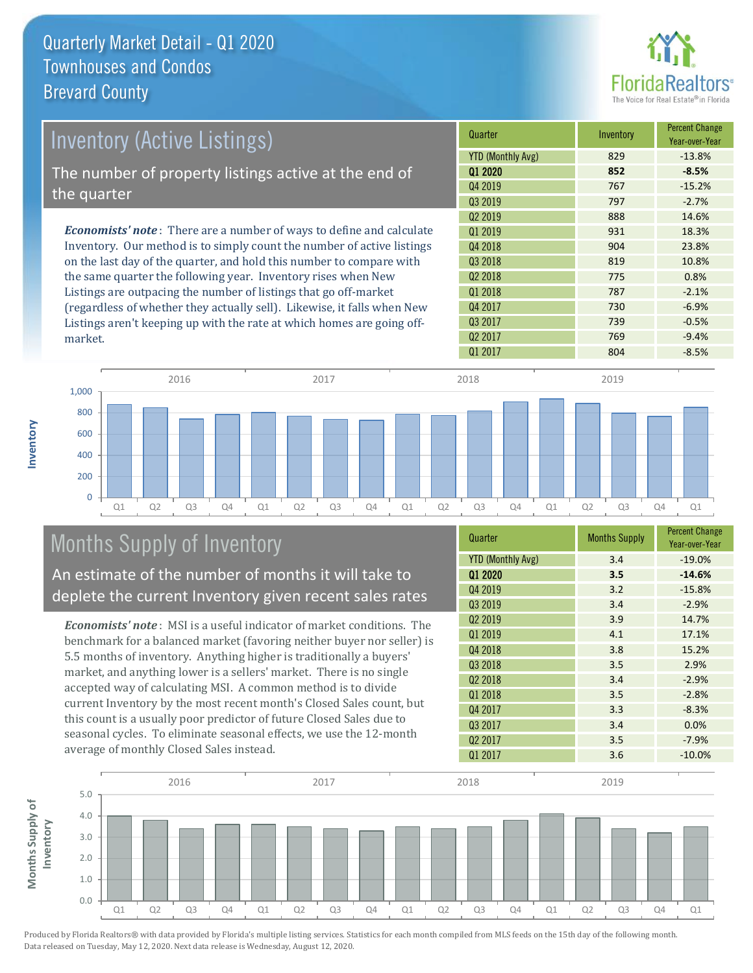

| Inventory (Active Listings)                                                  | Quarter             | Inventory | <b>Percent Change</b><br>Year-over-Year |
|------------------------------------------------------------------------------|---------------------|-----------|-----------------------------------------|
|                                                                              | YTD (Monthly Avg)   | 829       | $-13.8%$                                |
| The number of property listings active at the end of                         | 01 2020             | 852       | $-8.5%$                                 |
| the quarter                                                                  | Q4 2019             | 767       | $-15.2%$                                |
|                                                                              | Q3 2019             | 797       | $-2.7%$                                 |
|                                                                              | Q <sub>2</sub> 2019 | 888       | 14.6%                                   |
| <b>Economists' note</b> : There are a number of ways to define and calculate | 01 2019             | 931       | 18.3%                                   |
| Inventory. Our method is to simply count the number of active listings       | Q4 2018             | 904       | 23.8%                                   |
| on the last day of the quarter, and hold this number to compare with         | Q3 2018             | 819       | 10.8%                                   |
| the same quarter the following year. Inventory rises when New                | Q <sub>2</sub> 2018 | 775       | 0.8%                                    |
| Listings are outpacing the number of listings that go off-market             | 01 2018             | 787       | $-2.1%$                                 |
| (regardless of whether they actually sell). Likewise, it falls when New      | Q4 2017             | 730       | $-6.9%$                                 |

Q1 Q2 Q3 Q4 Q1 Q2 Q3 Q4 Q1 Q2 Q3 Q4 Q1 Q2 Q3 Q4 Q1  $\overline{0}$ 200 400 600 800 1,000 2016 2017 2018 2019

# Months Supply of Inventory

An estimate of the number of months it will take to deplete the current Inventory given recent sales rates

Listings aren't keeping up with the rate at which homes are going off-

*Economists' note* : MSI is a useful indicator of market conditions. The benchmark for a balanced market (favoring neither buyer nor seller) is 5.5 months of inventory. Anything higher is traditionally a buyers' market, and anything lower is a sellers' market. There is no single accepted way of calculating MSI. A common method is to divide current Inventory by the most recent month's Closed Sales count, but this count is a usually poor predictor of future Closed Sales due to seasonal cycles. To eliminate seasonal effects, we use the 12-month average of monthly Closed Sales instead.

| Quarter                  | <b>Months Supply</b> | <b>Percent Change</b><br>Year-over-Year |
|--------------------------|----------------------|-----------------------------------------|
| <b>YTD (Monthly Avg)</b> | 3.4                  | $-19.0%$                                |
| 01 2020                  | 3.5                  | $-14.6%$                                |
| Q4 2019                  | 3.2                  | $-15.8%$                                |
| Q3 2019                  | 3.4                  | $-2.9%$                                 |
| Q <sub>2</sub> 2019      | 3.9                  | 14.7%                                   |
| Q1 2019                  | 4.1                  | 17.1%                                   |
| Q4 2018                  | 3.8                  | 15.2%                                   |
| 03 2018                  | 3.5                  | 2.9%                                    |
| Q <sub>2</sub> 2018      | 3.4                  | $-2.9%$                                 |
| 01 2018                  | 3.5                  | $-2.8%$                                 |
| Q4 2017                  | 3.3                  | $-8.3%$                                 |
| Q3 2017                  | 3.4                  | 0.0%                                    |
| Q <sub>2</sub> 2017      | 3.5                  | $-7.9%$                                 |
| Q1 2017                  | 3.6                  | $-10.0%$                                |

 $Q1\,2017$  804 -8.5%

Q3 2017 **2017 2018 2017 2018 2017 2018 2018 2018 2018** Q2 2017 **769** -9.4%



Produced by Florida Realtors® with data provided by Florida's multiple listing services. Statistics for each month compiled from MLS feeds on the 15th day of the following month. Data released on Tuesday, May 12, 2020. Next data release is Wednesday, August 12, 2020.

market.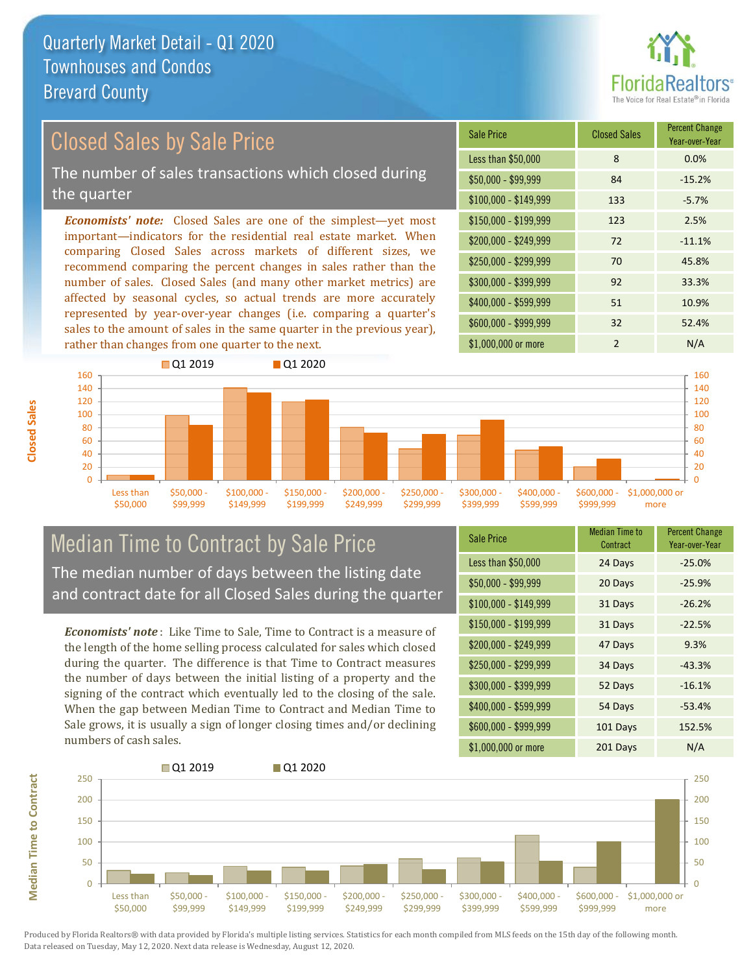

## Closed Sales by Sale Price

The number of sales transactions which closed during the quarter

*Economists' note:* Closed Sales are one of the simplest—yet most important—indicators for the residential real estate market. When comparing Closed Sales across markets of different sizes, we recommend comparing the percent changes in sales rather than the number of sales. Closed Sales (and many other market metrics) are affected by seasonal cycles, so actual trends are more accurately represented by year-over-year changes (i.e. comparing a quarter's sales to the amount of sales in the same quarter in the previous year), rather than changes from one quarter to the next.

| Sale Price            | <b>Closed Sales</b> | <b>Percent Change</b><br>Year-over-Year |
|-----------------------|---------------------|-----------------------------------------|
| Less than \$50,000    | 8                   | 0.0%                                    |
| \$50,000 - \$99,999   | 84                  | $-15.2%$                                |
| $$100,000 - $149,999$ | 133                 | $-5.7%$                                 |
| $$150,000 - $199,999$ | 123                 | 2.5%                                    |
| \$200,000 - \$249,999 | 72                  | $-11.1%$                                |
| \$250,000 - \$299,999 | 70                  | 45.8%                                   |
| \$300,000 - \$399,999 | 92                  | 33.3%                                   |
| \$400,000 - \$599,999 | 51                  | 10.9%                                   |
| \$600,000 - \$999,999 | 32                  | 52.4%                                   |
| \$1,000,000 or more   | $\mathfrak{p}$      | N/A                                     |



### Median Time to Contract by Sale Price The median number of days between the listing date and contract date for all Closed Sales during the quarter

*Economists' note* : Like Time to Sale, Time to Contract is a measure of the length of the home selling process calculated for sales which closed during the quarter. The difference is that Time to Contract measures the number of days between the initial listing of a property and the signing of the contract which eventually led to the closing of the sale. When the gap between Median Time to Contract and Median Time to Sale grows, it is usually a sign of longer closing times and/or declining numbers of cash sales.

| <b>Sale Price</b>     | <b>Median Time to</b><br>Contract | <b>Percent Change</b><br>Year-over-Year |
|-----------------------|-----------------------------------|-----------------------------------------|
| Less than \$50,000    | 24 Days                           | $-25.0%$                                |
| $$50,000 - $99,999$   | 20 Days                           | $-25.9%$                                |
| $$100,000 - $149,999$ | 31 Days                           | $-26.2%$                                |
| \$150,000 - \$199,999 | 31 Days                           | $-22.5%$                                |
| \$200,000 - \$249,999 | 47 Days                           | 9.3%                                    |
| \$250,000 - \$299,999 | 34 Days                           | $-43.3%$                                |
| \$300,000 - \$399,999 | 52 Days                           | $-16.1%$                                |
| \$400,000 - \$599,999 | 54 Days                           | $-53.4%$                                |
| \$600,000 - \$999,999 | 101 Days                          | 152.5%                                  |
| \$1,000,000 or more   | 201 Days                          | N/A                                     |



**Closed Sales**

**Median Time to Contract Median Time to Contract**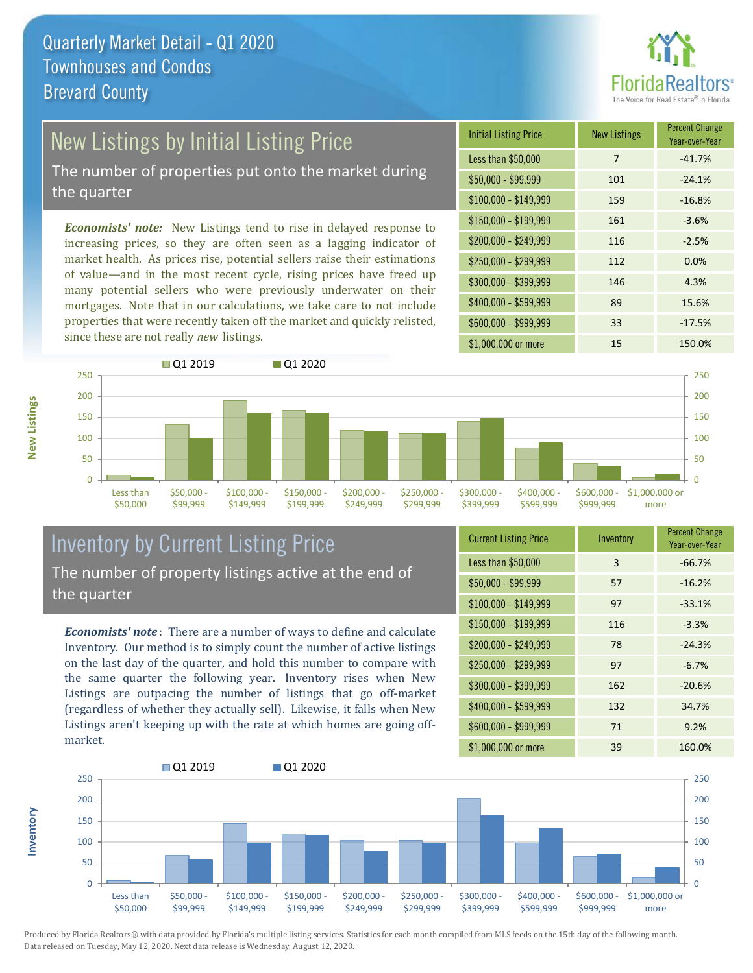

# New Listings by Initial Listing Price

The number of properties put onto the market during the quarter

*Economists' note:* New Listings tend to rise in delayed response to increasing prices, so they are often seen as a lagging indicator of market health. As prices rise, potential sellers raise their estimations of value—and in the most recent cycle, rising prices have freed up many potential sellers who were previously underwater on their mortgages. Note that in our calculations, we take care to not include properties that were recently taken off the market and quickly relisted, since these are not really *new* listings.





### Inventory by Current Listing Price The number of property listings active at the end of the quarter

*Economists' note* : There are a number of ways to define and calculate Inventory. Our method is to simply count the number of active listings on the last day of the quarter, and hold this number to compare with the same quarter the following year. Inventory rises when New Listings are outpacing the number of listings that go off-market (regardless of whether they actually sell). Likewise, it falls when New Listings aren't keeping up with the rate at which homes are going offmarket.

| <b>Current Listing Price</b> | Inventory | <b>Percent Change</b><br>Year-over-Year |
|------------------------------|-----------|-----------------------------------------|
| Less than \$50,000           | 3         | $-66.7%$                                |
| $$50,000 - $99,999$          | 57        | $-16.2%$                                |
| $$100,000 - $149,999$        | 97        | $-33.1%$                                |
| $$150,000 - $199,999$        | 116       | $-3.3%$                                 |
| \$200,000 - \$249,999        | 78        | $-24.3%$                                |
| \$250,000 - \$299,999        | 97        | $-6.7%$                                 |
| \$300,000 - \$399,999        | 162       | $-20.6%$                                |
| \$400,000 - \$599,999        | 132       | 34.7%                                   |
| \$600,000 - \$999,999        | 71        | 9.2%                                    |
| \$1,000,000 or more          | 39        | 160.0%                                  |



Produced by Florida Realtors® with data provided by Florida's multiple listing services. Statistics for each month compiled from MLS feeds on the 15th day of the following month. Data released on Tuesday, May 12, 2020. Next data release is Wednesday, August 12, 2020.

**Inventory**